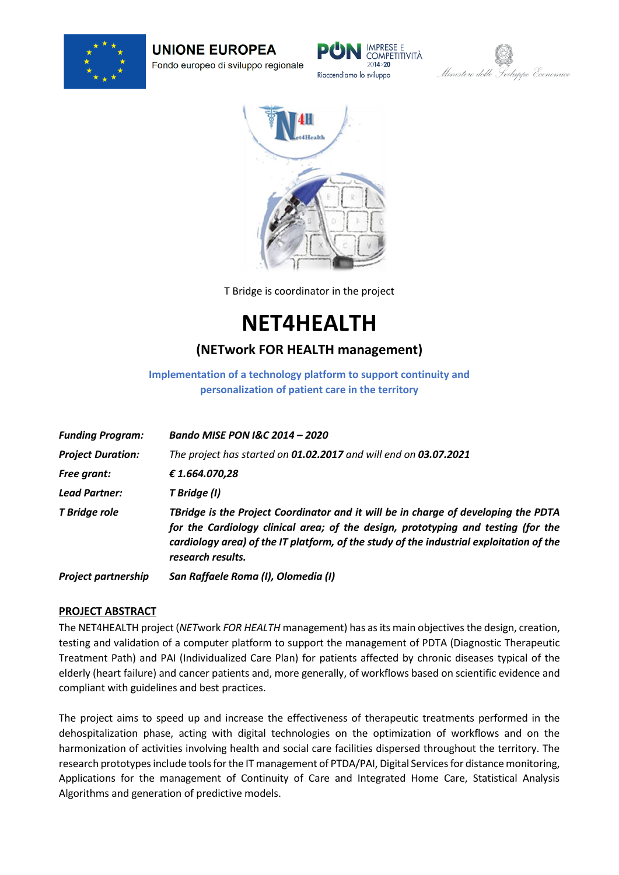

**UNIONE EUROPEA** Fondo europeo di sviluppo regionale







T Bridge is coordinator in the project

**NET4HEALTH**

## **(NETwork FOR HEALTH management)**

**Implementation of a technology platform to support continuity and personalization of patient care in the territory**

| <b>Funding Program:</b>    | Bando MISE PON I&C 2014 - 2020                                                                                                                                                                                                                                                          |
|----------------------------|-----------------------------------------------------------------------------------------------------------------------------------------------------------------------------------------------------------------------------------------------------------------------------------------|
| <b>Project Duration:</b>   | The project has started on 01.02.2017 and will end on 03.07.2021                                                                                                                                                                                                                        |
| <b>Free grant:</b>         | €1.664.070,28                                                                                                                                                                                                                                                                           |
| <b>Lead Partner:</b>       | T Bridge (I)                                                                                                                                                                                                                                                                            |
| T Bridge role              | TBridge is the Project Coordinator and it will be in charge of developing the PDTA<br>for the Cardiology clinical area; of the design, prototyping and testing (for the<br>cardiology area) of the IT platform, of the study of the industrial exploitation of the<br>research results. |
| <b>Project partnership</b> | San Raffaele Roma (I), Olomedia (I)                                                                                                                                                                                                                                                     |

## **PROJECT ABSTRACT**

The NET4HEALTH project (*NET*work *FOR HEALTH* management) has as its main objectives the design, creation, testing and validation of a computer platform to support the management of PDTA (Diagnostic Therapeutic Treatment Path) and PAI (Individualized Care Plan) for patients affected by chronic diseases typical of the elderly (heart failure) and cancer patients and, more generally, of workflows based on scientific evidence and compliant with guidelines and best practices.

The project aims to speed up and increase the effectiveness of therapeutic treatments performed in the dehospitalization phase, acting with digital technologies on the optimization of workflows and on the harmonization of activities involving health and social care facilities dispersed throughout the territory. The research prototypesinclude tools for the IT management of PTDA/PAI, Digital Services for distance monitoring, Applications for the management of Continuity of Care and Integrated Home Care, Statistical Analysis Algorithms and generation of predictive models.